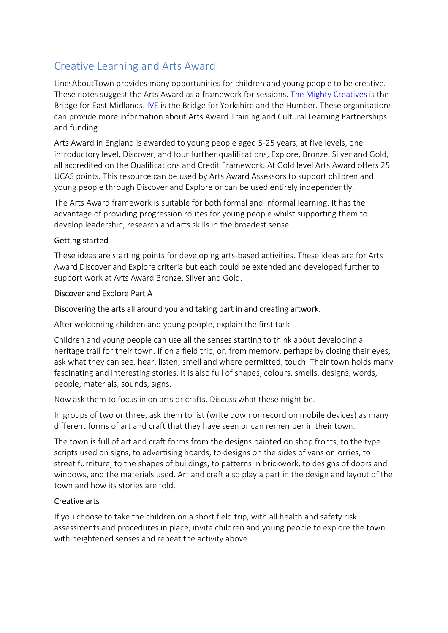# Creative Learning and Arts Award

LincsAboutTown provides many opportunities for children and young people to be creative. These notes suggest the Arts Award as a framework for sessions. The Mighty Creatives is the Bridge for East Midlands. IVE is the Bridge for Yorkshire and the Humber. These organisations can provide more information about Arts Award Training and Cultural Learning Partnerships and funding.

Arts Award in England is awarded to young people aged 5-25 years, at five levels, one introductory level, Discover, and four further qualifications, Explore, Bronze, Silver and Gold, all accredited on the Qualifications and Credit Framework. At Gold level Arts Award offers 25 UCAS points. This resource can be used by Arts Award Assessors to support children and young people through Discover and Explore or can be used entirely independently.

The Arts Award framework is suitable for both formal and informal learning. It has the advantage of providing progression routes for young people whilst supporting them to develop leadership, research and arts skills in the broadest sense.

## Getting started

These ideas are starting points for developing arts-based activities. These ideas are for Arts Award Discover and Explore criteria but each could be extended and developed further to support work at Arts Award Bronze, Silver and Gold.

## Discover and Explore Part A

## Discovering the arts all around you and taking part in and creating artwork.

After welcoming children and young people, explain the first task.

Children and young people can use all the senses starting to think about developing a heritage trail for their town. If on a field trip, or, from memory, perhaps by closing their eyes, ask what they can see, hear, listen, smell and where permitted, touch. Their town holds many fascinating and interesting stories. It is also full of shapes, colours, smells, designs, words, people, materials, sounds, signs.

Now ask them to focus in on arts or crafts. Discuss what these might be.

In groups of two or three, ask them to list (write down or record on mobile devices) as many different forms of art and craft that they have seen or can remember in their town.

The town is full of art and craft forms from the designs painted on shop fronts, to the type scripts used on signs, to advertising hoards, to designs on the sides of vans or lorries, to street furniture, to the shapes of buildings, to patterns in brickwork, to designs of doors and windows, and the materials used. Art and craft also play a part in the design and layout of the town and how its stories are told.

## Creative arts

If you choose to take the children on a short field trip, with all health and safety risk assessments and procedures in place, invite children and young people to explore the town with heightened senses and repeat the activity above.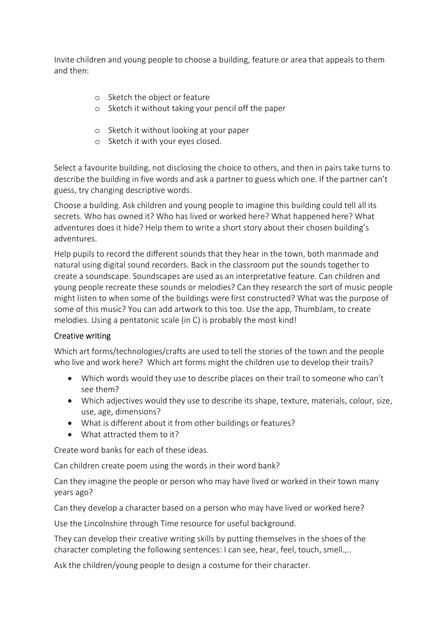Invite children and young people to choose a building, feature or area that appeals to them and then:

- o Sketch the object or feature
- o Sketch it without taking your pencil off the paper
- o Sketch it without looking at your paper
- o Sketch it with your eyes closed.

Select a favourite building, not disclosing the choice to others, and then in pairs take turns to describe the building in five words and ask a partner to guess which one. If the partner can't guess, try changing descriptive words.

Choose a building. Ask children and young people to imagine this building could tell all its secrets. Who has owned it? Who has lived or worked here? What happened here? What adventures does it hide? Help them to write a short story about their chosen building's adventures.

Help pupils to record the different sounds that they hear in the town, both manmade and natural using digital sound recorders. Back in the classroom put the sounds together to create a soundscape. Soundscapes are used as an interpretative feature. Can children and young people recreate these sounds or melodies? Can they research the sort of music people might listen to when some of the buildings were first constructed? What was the purpose of some of this music? You can add artwork to this too. Use the app, ThumbJam, to create melodies. Using a pentatonic scale (in C) is probably the most kind!

## Creative writing

Which art forms/technologies/crafts are used to tell the stories of the town and the people who live and work here? Which art forms might the children use to develop their trails?

- Which words would they use to describe places on their trail to someone who can't see them?
- Which adjectives would they use to describe its shape, texture, materials, colour, size, use, age, dimensions?
- What is different about it from other buildings or features?
- What attracted them to it?

Create word banks for each of these ideas.

Can children create poem using the words in their word bank?

Can they imagine the people or person who may have lived or worked in their town many years ago?

Can they develop a character based on a person who may have lived or worked here?

Use the Lincolnshire through Time resource for useful background.

They can develop their creative writing skills by putting themselves in the shoes of the character completing the following sentences: I can see, hear, feel, touch, smell.,..

Ask the children/young people to design a costume for their character.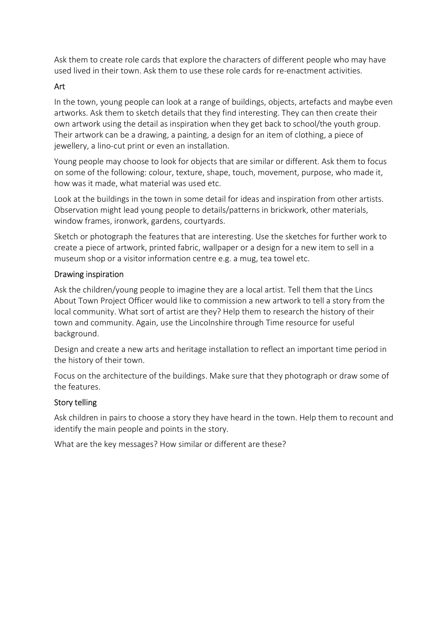Ask them to create role cards that explore the characters of different people who may have used lived in their town. Ask them to use these role cards for re-enactment activities.

## Art

In the town, young people can look at a range of buildings, objects, artefacts and maybe even artworks. Ask them to sketch details that they find interesting. They can then create their own artwork using the detail as inspiration when they get back to school/the youth group. Their artwork can be a drawing, a painting, a design for an item of clothing, a piece of jewellery, a lino-cut print or even an installation.

Young people may choose to look for objects that are similar or different. Ask them to focus on some of the following: colour, texture, shape, touch, movement, purpose, who made it, how was it made, what material was used etc.

Look at the buildings in the town in some detail for ideas and inspiration from other artists. Observation might lead young people to details/patterns in brickwork, other materials, window frames, ironwork, gardens, courtyards.

Sketch or photograph the features that are interesting. Use the sketches for further work to create a piece of artwork, printed fabric, wallpaper or a design for a new item to sell in a museum shop or a visitor information centre e.g. a mug, tea towel etc.

## Drawing inspiration

Ask the children/young people to imagine they are a local artist. Tell them that the Lincs About Town Project Officer would like to commission a new artwork to tell a story from the local community. What sort of artist are they? Help them to research the history of their town and community. Again, use the Lincolnshire through Time resource for useful background.

Design and create a new arts and heritage installation to reflect an important time period in the history of their town.

Focus on the architecture of the buildings. Make sure that they photograph or draw some of the features.

## Story telling

Ask children in pairs to choose a story they have heard in the town. Help them to recount and identify the main people and points in the story.

What are the key messages? How similar or different are these?